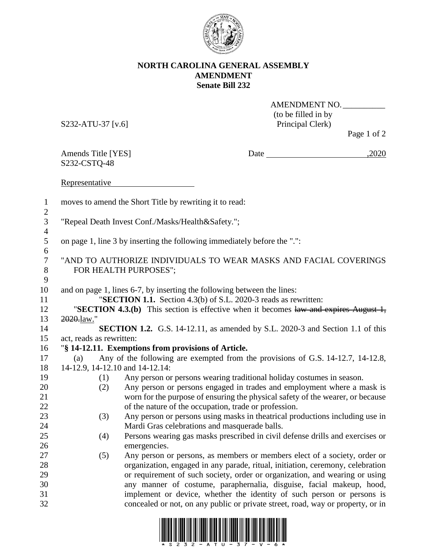

## **NORTH CAROLINA GENERAL ASSEMBLY AMENDMENT Senate Bill 232**

S232-ATU-37 [v.6] Principal Clerk)

AMENDMENT NO.\_\_\_\_\_\_\_\_\_\_ (to be filled in by

Page 1 of 2

S232-CSTQ-48

Amends Title [YES] Date  $\frac{2020}{200}$ 

Representative **Representative** 

| $\mathbf{1}$<br>$\mathbf{2}$     |                                                                                           | moves to amend the Short Title by rewriting it to read:                                                                                    |
|----------------------------------|-------------------------------------------------------------------------------------------|--------------------------------------------------------------------------------------------------------------------------------------------|
| $\mathfrak{Z}$<br>$\overline{4}$ | "Repeal Death Invest Conf./Masks/Health&Safety.";                                         |                                                                                                                                            |
| 5<br>6                           | on page 1, line 3 by inserting the following immediately before the ".":                  |                                                                                                                                            |
| $\boldsymbol{7}$<br>$8\,$        | "AND TO AUTHORIZE INDIVIDUALS TO WEAR MASKS AND FACIAL COVERINGS<br>FOR HEALTH PURPOSES"; |                                                                                                                                            |
| $\mathbf{9}$<br>10<br>11         |                                                                                           | and on page 1, lines 6-7, by inserting the following between the lines:<br>"SECTION 1.1. Section 4.3(b) of S.L. 2020-3 reads as rewritten: |
| 12                               |                                                                                           | "SECTION 4.3.(b) This section is effective when it becomes law and expires August 1,                                                       |
| 13                               | 2020.law."                                                                                |                                                                                                                                            |
| 14                               |                                                                                           | <b>SECTION 1.2.</b> G.S. 14-12.11, as amended by S.L. 2020-3 and Section 1.1 of this                                                       |
| 15                               | act, reads as rewritten:                                                                  |                                                                                                                                            |
| 16                               | "§ 14-12.11. Exemptions from provisions of Article.                                       |                                                                                                                                            |
| 17                               | (a)                                                                                       | Any of the following are exempted from the provisions of G.S. 14-12.7, 14-12.8,                                                            |
| 18                               | 14-12.9, 14-12.10 and 14-12.14:                                                           |                                                                                                                                            |
| 19                               | (1)                                                                                       | Any person or persons wearing traditional holiday costumes in season.                                                                      |
| 20                               | (2)                                                                                       | Any person or persons engaged in trades and employment where a mask is                                                                     |
| 21                               |                                                                                           | worn for the purpose of ensuring the physical safety of the wearer, or because                                                             |
| 22                               |                                                                                           | of the nature of the occupation, trade or profession.                                                                                      |
| 23                               | (3)                                                                                       | Any person or persons using masks in theatrical productions including use in                                                               |
| 24                               |                                                                                           | Mardi Gras celebrations and masquerade balls.                                                                                              |
| 25                               | (4)                                                                                       | Persons wearing gas masks prescribed in civil defense drills and exercises or                                                              |
| 26                               |                                                                                           | emergencies.                                                                                                                               |
| 27                               | (5)                                                                                       | Any person or persons, as members or members elect of a society, order or                                                                  |
| 28                               |                                                                                           | organization, engaged in any parade, ritual, initiation, ceremony, celebration                                                             |
| 29                               |                                                                                           | or requirement of such society, order or organization, and wearing or using                                                                |
| 30                               |                                                                                           | any manner of costume, paraphernalia, disguise, facial makeup, hood,                                                                       |
| 31                               |                                                                                           | implement or device, whether the identity of such person or persons is                                                                     |
| 32                               |                                                                                           | concealed or not, on any public or private street, road, way or property, or in                                                            |